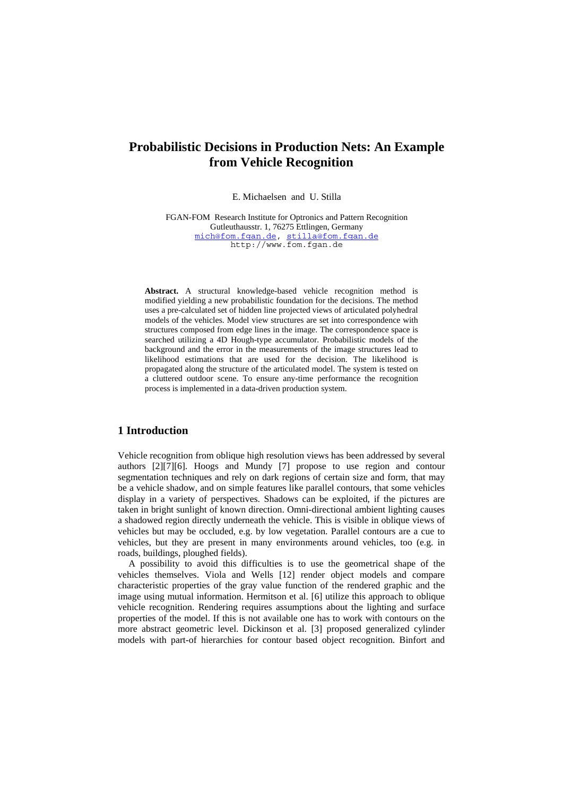# **Probabilistic Decisions in Production Nets: An Example from Vehicle Recognition**

E. Michaelsen and U. Stilla

FGAN-FOM Research Institute for Optronics and Pattern Recognition Gutleuthausstr. 1, 76275 Ettlingen, Germany [mich@fom.fgan.de](mailto:usti@fom.fgan.de), [stilla@fom.fgan.de](mailto:usti@fom.fgan.de) http://www.fom.fgan.de

**Abstract.** A structural knowledge-based vehicle recognition method is modified yielding a new probabilistic foundation for the decisions. The method uses a pre-calculated set of hidden line projected views of articulated polyhedral models of the vehicles. Model view structures are set into correspondence with structures composed from edge lines in the image. The correspondence space is searched utilizing a 4D Hough-type accumulator. Probabilistic models of the background and the error in the measurements of the image structures lead to likelihood estimations that are used for the decision. The likelihood is propagated along the structure of the articulated model. The system is tested on a cluttered outdoor scene. To ensure any-time performance the recognition process is implemented in a data-driven production system.

# **1 Introduction**

Vehicle recognition from oblique high resolution views has been addressed by several authors [\[2](#page-8-0)][[7\]](#page-8-1)[[6\]](#page-8-2). Hoogs and Mundy [\[7](#page-8-1)] propose to use region and contour segmentation techniques and rely on dark regions of certain size and form, that may be a vehicle shadow, and on simple features like parallel contours, that some vehicles display in a variety of perspectives. Shadows can be exploited, if the pictures are taken in bright sunlight of known direction. Omni-directional ambient lighting causes a shadowed region directly underneath the vehicle. This is visible in oblique views of vehicles but may be occluded, e.g. by low vegetation. Parallel contours are a cue to vehicles, but they are present in many environments around vehicles, too (e.g. in roads, buildings, ploughed fields).

A possibility to avoid this difficulties is to use the geometrical shape of the vehicles themselves. Viola and Wells [[12\]](#page-8-3) render object models and compare characteristic properties of the gray value function of the rendered graphic and the image using mutual information. Hermitson et al. [[6\]](#page-8-2) utilize this approach to oblique vehicle recognition. Rendering requires assumptions about the lighting and surface properties of the model. If this is not available one has to work with contours on the more abstract geometric level. Dickinson et al. [[3\]](#page-8-4) proposed generalized cylinder models with part-of hierarchies for contour based object recognition. Binfort and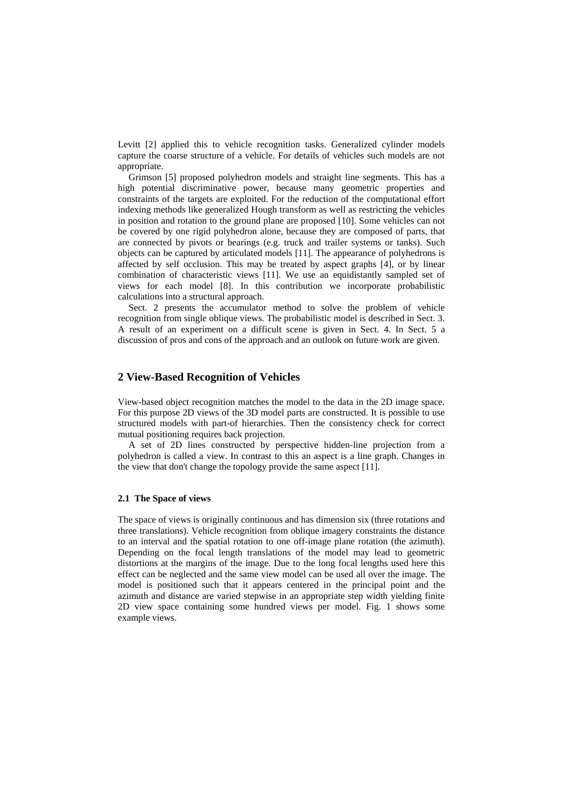Levitt [\[2](#page-8-0)] applied this to vehicle recognition tasks. Generalized cylinder models capture the coarse structure of a vehicle. For details of vehicles such models are not appropriate.

Grimson [\[5](#page-8-5)] proposed polyhedron models and straight line segments. This has a high potential discriminative power, because many geometric properties and constraints of the targets are exploited. For the reduction of the computational effort indexing methods like generalized Hough transform as well as restricting the vehicles in position and rotation to the ground plane are proposed [\[10](#page-8-6)]. Some vehicles can not be covered by one rigid polyhedron alone, because they are composed of parts, that are connected by pivots or bearings (e.g. truck and trailer systems or tanks). Such objects can be captured by articulated models [\[11](#page-8-7)]. The appearance of polyhedrons is affected by self occlusion. This may be treated by aspect graphs [[4\]](#page-8-8), or by linear combination of characteristic views [\[11\]](#page-8-7). We use an equidistantly sampled set of views for each model [\[8](#page-8-9)]. In this contribution we incorporate probabilistic calculations into a structural approach.

Sect. 2 presents the accumulator method to solve the problem of vehicle recognition from single oblique views. The probabilistic model is described in Sect. 3. A result of an experiment on a difficult scene is given in Sect. 4. In Sect. 5 a discussion of pros and cons of the approach and an outlook on future work are given.

# **2 View-Based Recognition of Vehicles**

View-based object recognition matches the model to the data in the 2D image space. For this purpose 2D views of the 3D model parts are constructed. It is possible to use structured models with part-of hierarchies. Then the consistency check for correct mutual positioning requires back projection.

A set of 2D lines constructed by perspective hidden-line projection from a polyhedron is called a view. In contrast to this an aspect is a line graph. Changes in the view that don't change the topology provide the same aspect [\[11](#page-8-7)].

#### **2.1 The Space of views**

The space of views is originally continuous and has dimension six (three rotations and three translations). Vehicle recognition from oblique imagery constraints the distance to an interval and the spatial rotation to one off-image plane rotation (the azimuth). Depending on the focal length translations of the model may lead to geometric distortions at the margins of the image. Due to the long focal lengths used here this effect can be neglected and the same view model can be used all over the image. The model is positioned such that it appears centered in the principal point and the azimuth and distance are varied stepwise in an appropriate step width yielding finite 2D view space containing some hundred views per model. Fig. 1 shows some example views.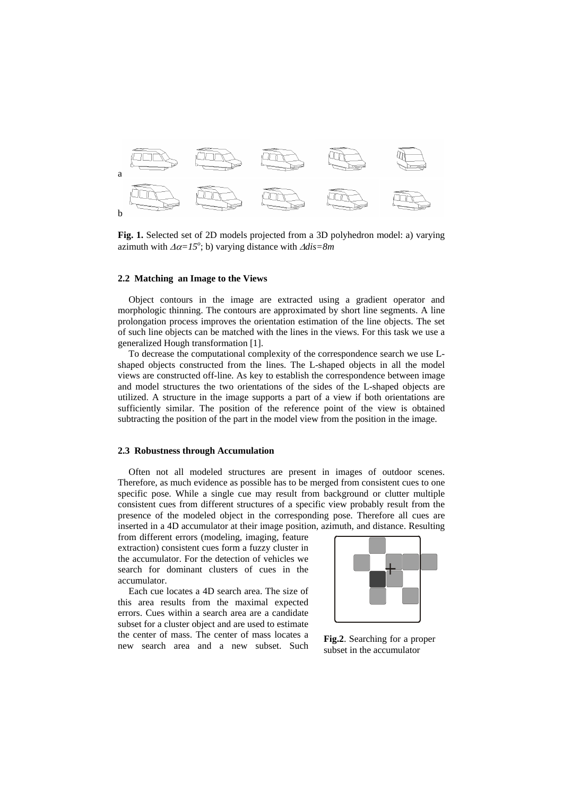

**Fig. 1.** Selected set of 2D models projected from a 3D polyhedron model: a) varying azimuth with  $\Delta \alpha = I5^{\circ}$ ; b) varying distance with  $\Delta \text{dis} = 8m$ 

#### **2.2 Matching an Image to the Views**

Object contours in the image are extracted using a gradient operator and morphologic thinning. The contours are approximated by short line segments. A line prolongation process improves the orientation estimation of the line objects. The set of such line objects can be matched with the lines in the views. For this task we use a generalized Hough transformation [[1\]](#page-8-10).

To decrease the computational complexity of the correspondence search we use Lshaped objects constructed from the lines. The L-shaped objects in all the model views are constructed off-line. As key to establish the correspondence between image and model structures the two orientations of the sides of the L-shaped objects are utilized. A structure in the image supports a part of a view if both orientations are sufficiently similar. The position of the reference point of the view is obtained subtracting the position of the part in the model view from the position in the image.

#### **2.3 Robustness through Accumulation**

Often not all modeled structures are present in images of outdoor scenes. Therefore, as much evidence as possible has to be merged from consistent cues to one specific pose. While a single cue may result from background or clutter multiple consistent cues from different structures of a specific view probably result from the presence of the modeled object in the corresponding pose. Therefore all cues are inserted in a 4D accumulator at their image position, azimuth, and distance. Resulting

from different errors (modeling, imaging, feature extraction) consistent cues form a fuzzy cluster in the accumulator. For the detection of vehicles we search for dominant clusters of cues in the accumulator.

Each cue locates a 4D search area. The size of this area results from the maximal expected errors. Cues within a search area are a candidate subset for a cluster object and are used to estimate the center of mass. The center of mass locates a new search area and a new subset. Such



**Fig.2**. Searching for a proper subset in the accumulator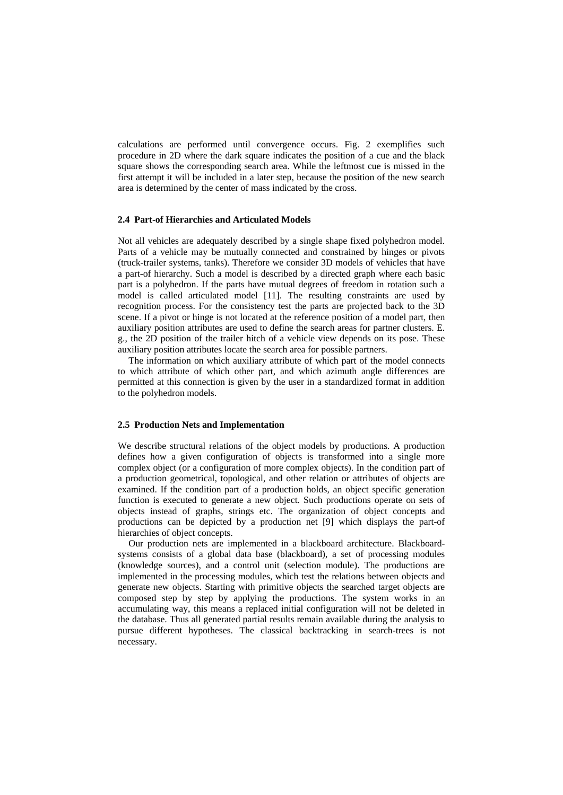calculations are performed until convergence occurs. Fig. 2 exemplifies such procedure in 2D where the dark square indicates the position of a cue and the black square shows the corresponding search area. While the leftmost cue is missed in the first attempt it will be included in a later step, because the position of the new search area is determined by the center of mass indicated by the cross.

#### **2.4 Part-of Hierarchies and Articulated Models**

Not all vehicles are adequately described by a single shape fixed polyhedron model. Parts of a vehicle may be mutually connected and constrained by hinges or pivots (truck-trailer systems, tanks). Therefore we consider 3D models of vehicles that have a part-of hierarchy. Such a model is described by a directed graph where each basic part is a polyhedron. If the parts have mutual degrees of freedom in rotation such a model is called articulated model [\[11](#page-8-7)]. The resulting constraints are used by recognition process. For the consistency test the parts are projected back to the 3D scene. If a pivot or hinge is not located at the reference position of a model part, then auxiliary position attributes are used to define the search areas for partner clusters. E. g., the 2D position of the trailer hitch of a vehicle view depends on its pose. These auxiliary position attributes locate the search area for possible partners.

The information on which auxiliary attribute of which part of the model connects to which attribute of which other part, and which azimuth angle differences are permitted at this connection is given by the user in a standardized format in addition to the polyhedron models.

#### **2.5 Production Nets and Implementation**

We describe structural relations of the object models by productions. A production defines how a given configuration of objects is transformed into a single more complex object (or a configuration of more complex objects). In the condition part of a production geometrical, topological, and other relation or attributes of objects are examined. If the condition part of a production holds, an object specific generation function is executed to generate a new object. Such productions operate on sets of objects instead of graphs, strings etc. The organization of object concepts and productions can be depicted by a production net [[9\]](#page-8-11) which displays the part-of hierarchies of object concepts.

Our production nets are implemented in a blackboard architecture. Blackboardsystems consists of a global data base (blackboard), a set of processing modules (knowledge sources), and a control unit (selection module). The productions are implemented in the processing modules, which test the relations between objects and generate new objects. Starting with primitive objects the searched target objects are composed step by step by applying the productions. The system works in an accumulating way, this means a replaced initial configuration will not be deleted in the database. Thus all generated partial results remain available during the analysis to pursue different hypotheses. The classical backtracking in search-trees is not necessary.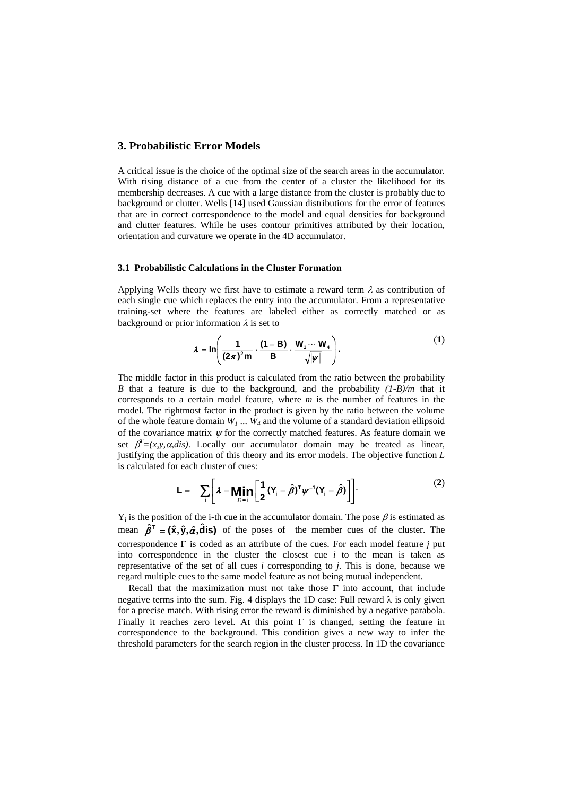## **3. Probabilistic Error Models**

A critical issue is the choice of the optimal size of the search areas in the accumulator. With rising distance of a cue from the center of a cluster the likelihood for its membership decreases. A cue with a large distance from the cluster is probably due to background or clutter. Wells [14] used Gaussian distributions for the error of features that are in correct correspondence to the model and equal densities for background and clutter features. While he uses contour primitives attributed by their location, orientation and curvature we operate in the 4D accumulator.

# **3.1 Probabilistic Calculations in the Cluster Formation**

Applying Wells theory we first have to estimate a reward term  $\lambda$  as contribution of each single cue which replaces the entry into the accumulator. From a representative training-set where the features are labeled either as correctly matched or as background or prior information  $\lambda$  is set to

$$
\lambda = \ln\left(\frac{1}{(2\pi)^2 m} \cdot \frac{(1-B)}{B} \cdot \frac{W_1 \cdots W_4}{\sqrt{|\psi|}}\right).
$$
 (1)

The middle factor in this product is calculated from the ratio between the probability *B* that a feature is due to the background*,* and the probability *(1-B)/m* that it corresponds to a certain model feature, where *m* is the number of features in the model. The rightmost factor in the product is given by the ratio between the volume of the whole feature domain  $W_1$  ...  $W_4$  and the volume of a standard deviation ellipsoid of the covariance matrix  $\psi$  for the correctly matched features. As feature domain we set  $\beta^T = (x, y, \alpha, dis)$ . Locally our accumulator domain may be treated as linear, justifying the application of this theory and its error models. The objective function *L* is calculated for each cluster of cues:

$$
L = \sum_{j} \left[ \lambda - \underset{\Gamma_{i}=j}{\text{Min}} \left[ \frac{1}{2} (Y_{i} - \hat{\beta})^{\top} \psi^{-1} (Y_{i} - \hat{\beta}) \right] \right]. \tag{2}
$$

 $Y_i$  is the position of the i-th cue in the accumulator domain. The pose  $\beta$  is estimated as mean  $\hat{\beta}^T = (\hat{x}, \hat{y}, \hat{\alpha}, \hat{d}$  **is**) of the poses of the member cues of the cluster. The correspondence Γ is coded as an attribute of the cues. For each model feature *j* put into correspondence in the cluster the closest cue *i* to the mean is taken as representative of the set of all cues *i* corresponding to *j*. This is done, because we regard multiple cues to the same model feature as not being mutual independent.

Recall that the maximization must not take those  $\Gamma$  into account, that include negative terms into the sum. Fig. 4 displays the 1D case: Full reward  $\lambda$  is only given for a precise match. With rising error the reward is diminished by a negative parabola. Finally it reaches zero level. At this point  $\Gamma$  is changed, setting the feature in correspondence to the background. This condition gives a new way to infer the threshold parameters for the search region in the cluster process. In 1D the covariance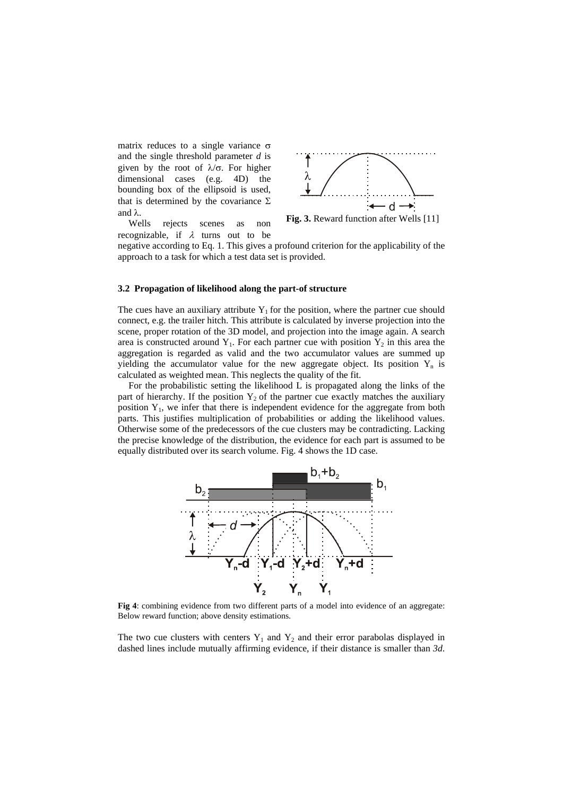matrix reduces to a single variance σ and the single threshold parameter *d* is given by the root of  $\lambda/\sigma$ . For higher dimensional cases (e.g. 4D) the bounding box of the ellipsoid is used, that is determined by the covariance  $\Sigma$ and λ.



**Fig. 3.** Reward function after Wells [11]

Wells rejects scenes as non recognizable, if  $\lambda$  turns out to be

negative according to Eq. 1. This gives a profound criterion for the applicability of the approach to a task for which a test data set is provided.

#### **3.2 Propagation of likelihood along the part-of structure**

The cues have an auxiliary attribute  $Y_1$  for the position, where the partner cue should connect, e.g. the trailer hitch. This attribute is calculated by inverse projection into the scene, proper rotation of the 3D model, and projection into the image again. A search area is constructed around  $Y_1$ . For each partner cue with position  $Y_2$  in this area the aggregation is regarded as valid and the two accumulator values are summed up yielding the accumulator value for the new aggregate object. Its position  $Y_n$  is calculated as weighted mean. This neglects the quality of the fit.

For the probabilistic setting the likelihood L is propagated along the links of the part of hierarchy. If the position  $Y_2$  of the partner cue exactly matches the auxiliary position  $Y_1$ , we infer that there is independent evidence for the aggregate from both parts. This justifies multiplication of probabilities or adding the likelihood values. Otherwise some of the predecessors of the cue clusters may be contradicting. Lacking the precise knowledge of the distribution, the evidence for each part is assumed to be equally distributed over its search volume. Fig. 4 shows the 1D case.



**Fig 4**: combining evidence from two different parts of a model into evidence of an aggregate: Below reward function; above density estimations.

The two cue clusters with centers  $Y_1$  and  $Y_2$  and their error parabolas displayed in dashed lines include mutually affirming evidence, if their distance is smaller than *3d*.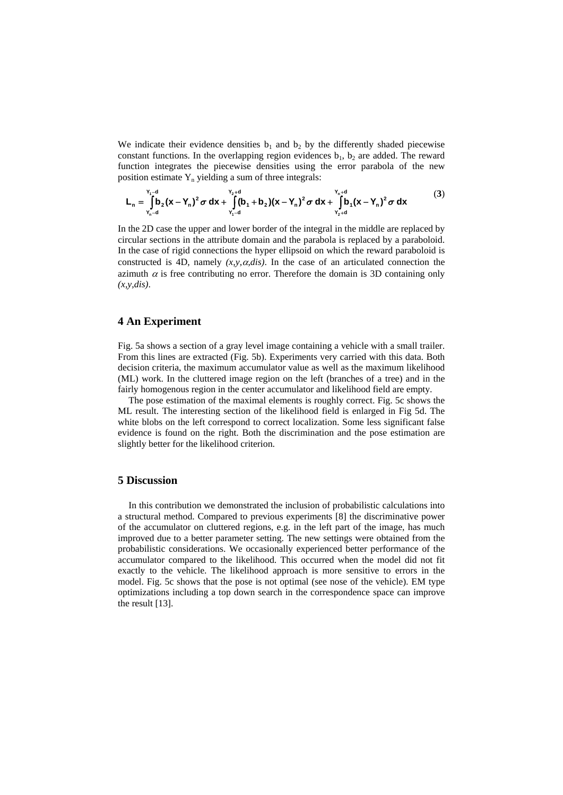We indicate their evidence densities  $b_1$  and  $b_2$  by the differently shaded piecewise constant functions. In the overlapping region evidences  $b_1$ ,  $b_2$  are added. The reward function integrates the piecewise densities using the error parabola of the new position estimate  $Y_n$  yielding a sum of three integrals:

$$
L_n = \int_{Y_n-d}^{Y_1-d} b_2(x-Y_n)^2 \sigma dx + \int_{Y_1-d}^{Y_2+d} (b_1+b_2)(x-Y_n)^2 \sigma dx + \int_{Y_2+d}^{Y_n+d} b_1(x-Y_n)^2 \sigma dx
$$
 (3)

In the 2D case the upper and lower border of the integral in the middle are replaced by circular sections in the attribute domain and the parabola is replaced by a paraboloid. In the case of rigid connections the hyper ellipsoid on which the reward paraboloid is constructed is 4D, namely  $(x, y, \alpha, dis)$ . In the case of an articulated connection the azimuth  $\alpha$  is free contributing no error. Therefore the domain is 3D containing only *(x,y,dis)*.

### **4 An Experiment**

Fig. 5a shows a section of a gray level image containing a vehicle with a small trailer. From this lines are extracted (Fig. 5b). Experiments very carried with this data. Both decision criteria, the maximum accumulator value as well as the maximum likelihood (ML) work. In the cluttered image region on the left (branches of a tree) and in the fairly homogenous region in the center accumulator and likelihood field are empty.

The pose estimation of the maximal elements is roughly correct. Fig. 5c shows the ML result. The interesting section of the likelihood field is enlarged in Fig 5d. The white blobs on the left correspond to correct localization. Some less significant false evidence is found on the right. Both the discrimination and the pose estimation are slightly better for the likelihood criterion.

# **5 Discussion**

In this contribution we demonstrated the inclusion of probabilistic calculations into a structural method. Compared to previous experiments [\[8](#page-8-9)] the discriminative power of the accumulator on cluttered regions, e.g. in the left part of the image, has much improved due to a better parameter setting. The new settings were obtained from the probabilistic considerations. We occasionally experienced better performance of the accumulator compared to the likelihood. This occurred when the model did not fit exactly to the vehicle. The likelihood approach is more sensitive to errors in the model. Fig. 5c shows that the pose is not optimal (see nose of the vehicle). EM type optimizations including a top down search in the correspondence space can improve the result [[13](#page-8-12)].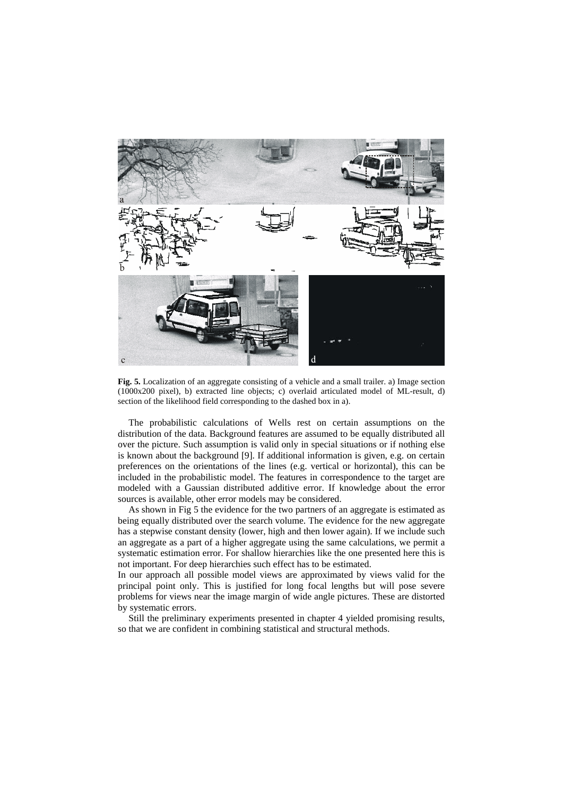

**Fig. 5.** Localization of an aggregate consisting of a vehicle and a small trailer. a) Image section (1000x200 pixel), b) extracted line objects; c) overlaid articulated model of ML-result, d) section of the likelihood field corresponding to the dashed box in a).

The probabilistic calculations of Wells rest on certain assumptions on the distribution of the data. Background features are assumed to be equally distributed all over the picture. Such assumption is valid only in special situations or if nothing else is known about the background [[9\]](#page-8-11). If additional information is given, e.g. on certain preferences on the orientations of the lines (e.g. vertical or horizontal), this can be included in the probabilistic model. The features in correspondence to the target are modeled with a Gaussian distributed additive error. If knowledge about the error sources is available, other error models may be considered.

As shown in Fig 5 the evidence for the two partners of an aggregate is estimated as being equally distributed over the search volume. The evidence for the new aggregate has a stepwise constant density (lower, high and then lower again). If we include such an aggregate as a part of a higher aggregate using the same calculations, we permit a systematic estimation error. For shallow hierarchies like the one presented here this is not important. For deep hierarchies such effect has to be estimated.

In our approach all possible model views are approximated by views valid for the principal point only. This is justified for long focal lengths but will pose severe problems for views near the image margin of wide angle pictures. These are distorted by systematic errors.

Still the preliminary experiments presented in chapter 4 yielded promising results, so that we are confident in combining statistical and structural methods.